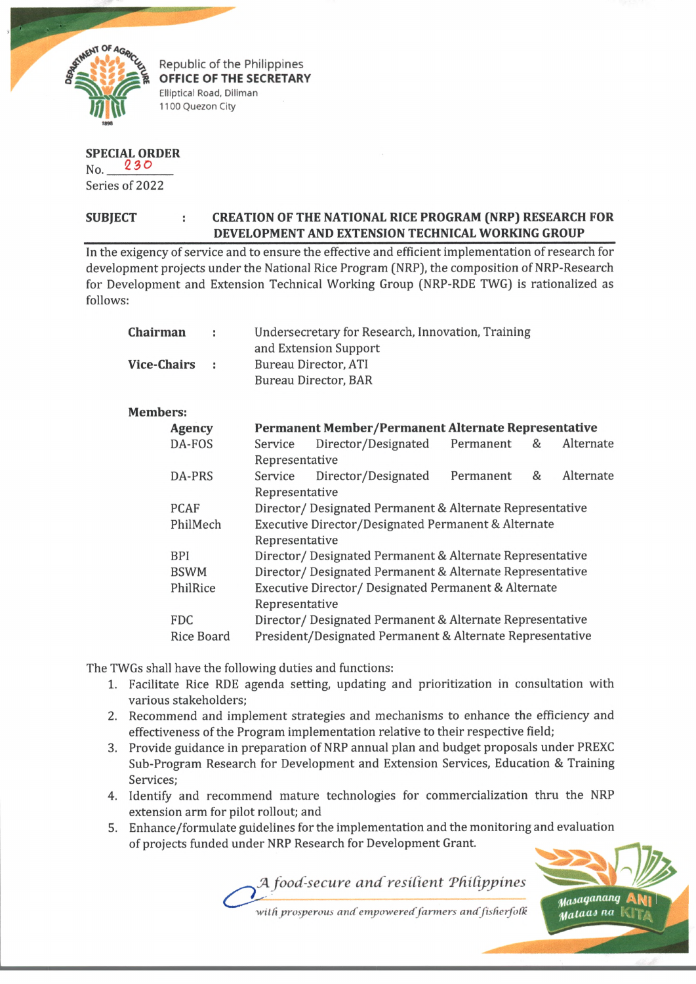

Republic of the Philippines **OFFICE OF THE SECRETARY** Elliptical Road, Diliman 1100 Quezon City

## **SPECIAL ORDER**

No. 230 Series of 2022

## **SUBJECT : CREATION OF THE NATIONAL RICE PROGRAM (NRP) RESEARCH FOR \_\_\_\_\_\_\_\_\_\_\_\_\_\_\_\_\_\_\_\_\_\_\_\_\_\_\_ DEVELOPMENT AND EXTENSION TECHNICAL WORKING GROUP**

In the exigency of service and to ensure the effective and efficient implementation of research for development projects under the National Rice Program (NRP), the composition of NRP-Research for Development and Extension Technical Working Group (NRP-RDE TWG) is rationalized as follows:

| <b>Chairman</b>    | ÷<br>. .    |                                                                        | Undersecretary for Research, Innovation, Training<br>and Extension Support<br><b>Bureau Director, ATI</b><br>Bureau Director, BAR |           |   |           |  |
|--------------------|-------------|------------------------------------------------------------------------|-----------------------------------------------------------------------------------------------------------------------------------|-----------|---|-----------|--|
| <b>Vice-Chairs</b> |             |                                                                        |                                                                                                                                   |           |   |           |  |
| <b>Members:</b>    |             |                                                                        |                                                                                                                                   |           |   |           |  |
| <b>Agency</b>      |             | Permanent Member/Permanent Alternate Representative                    |                                                                                                                                   |           |   |           |  |
| DA-FOS             |             | Service                                                                | Director/Designated                                                                                                               | Permanent | & | Alternate |  |
|                    |             | Representative                                                         |                                                                                                                                   |           |   |           |  |
| DA-PRS             |             | Service                                                                | Director/Designated                                                                                                               | Permanent | & | Alternate |  |
|                    |             | Representative                                                         |                                                                                                                                   |           |   |           |  |
| <b>PCAF</b>        |             | Director/ Designated Permanent & Alternate Representative              |                                                                                                                                   |           |   |           |  |
| PhilMech           |             | Executive Director/Designated Permanent & Alternate                    |                                                                                                                                   |           |   |           |  |
|                    |             | Representative                                                         |                                                                                                                                   |           |   |           |  |
| <b>BPI</b>         |             | Director/ Designated Permanent & Alternate Representative              |                                                                                                                                   |           |   |           |  |
|                    | <b>BSWM</b> |                                                                        | Director/ Designated Permanent & Alternate Representative                                                                         |           |   |           |  |
| PhilRice           |             | Executive Director/ Designated Permanent & Alternate<br>Representative |                                                                                                                                   |           |   |           |  |
| <b>FDC</b>         |             |                                                                        | Director/Designated Permanent & Alternate Representative                                                                          |           |   |           |  |
| <b>Rice Board</b>  |             | President/Designated Permanent & Alternate Representative              |                                                                                                                                   |           |   |           |  |

The TWGs shall have the following duties and functions:

- 1. Facilitate Rice RDE agenda setting, updating and prioritization in consultation with various stakeholders;
- 2**.** Recommend and implement strategies and mechanisms to enhance the efficiency and effectiveness of the Program implementation relative to their respective field;
- Provide guidance in preparation of NRP annual plan and budget proposals under PREXC Sub-Program Research for Development and Extension Services, Education & Training Services;
- 4. Identify and recommend mature technologies for commercialization thru the NRP extension arm for pilot rollout; and
- Enhance/formulate guidelines for the implementation and the monitoring and evaluation **5**. of projects funded under NRP Research for Development Grant.

*Maiaqu™ntj* Aty) *H/lataa\* na* tvlf/,.

with prosperous and empowered farmers and fisherfolk

*JA food-secure an d'residen t Tdidppines*